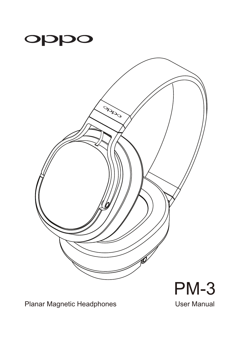



PM-3

Planar Magnetic Headphones **Exercise Search Advisor Manual**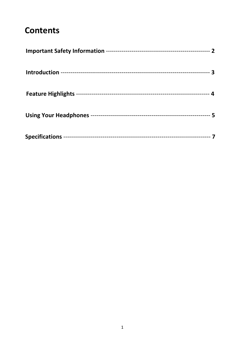### **Contents**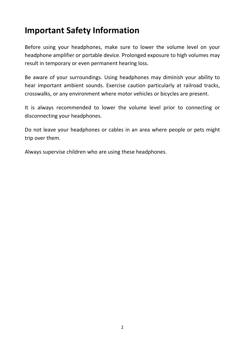#### **Important Safety Information**

Before using your headphones, make sure to lower the volume level on your headphone amplifier or portable device. Prolonged exposure to high volumes may result in temporary or even permanent hearing loss.

Be aware of your surroundings. Using headphones may diminish your ability to hear important ambient sounds. Exercise caution particularly at railroad tracks, crosswalks, or any environment where motor vehicles or bicycles are present.

It is always recommended to lower the volume level prior to connecting or disconnecting your headphones.

Do not leave your headphones or cables in an area where people or pets might trip over them.

Always supervise children who are using these headphones.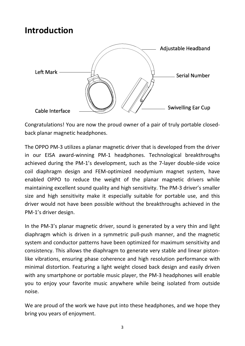#### **Introduction**



Congratulations! You are now the proud owner of a pair of truly portable closed‐ back planar magnetic headphones.

The OPPO PM‐3 utilizes a planar magnetic driver that is developed from the driver in our EISA award‐winning PM‐1 headphones. Technological breakthroughs achieved during the PM‐1's development, such as the 7‐layer double‐side voice coil diaphragm design and FEM‐optimized neodymium magnet system, have enabled OPPO to reduce the weight of the planar magnetic drivers while maintaining excellent sound quality and high sensitivity. The PM‐3 driver's smaller size and high sensitivity make it especially suitable for portable use, and this driver would not have been possible without the breakthroughs achieved in the PM‐1's driver design.

In the PM‐3's planar magnetic driver, sound is generated by a very thin and light diaphragm which is driven in a symmetric pull‐push manner, and the magnetic system and conductor patterns have been optimized for maximum sensitivity and consistency. This allows the diaphragm to generate very stable and linear piston‐ like vibrations, ensuring phase coherence and high resolution performance with minimal distortion. Featuring a light weight closed back design and easily driven with any smartphone or portable music player, the PM‐3 headphones will enable you to enjoy your favorite music anywhere while being isolated from outside noise.

We are proud of the work we have put into these headphones, and we hope they bring you years of enjoyment.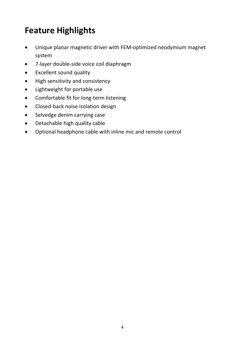## **Feature Highlights**

- Unique planar magnetic driver with FEM‐optimized neodymium magnet system
- 7‐layer double‐side voice coil diaphragm
- Excellent sound quality
- High sensitivity and consistency
- Lightweight for portable use
- Comfortable fit for long-term listening
- Closed-back noise isolation design
- Selvedge denim carrying case
- Detachable high quality cable
- Optional headphone cable with inline mic and remote control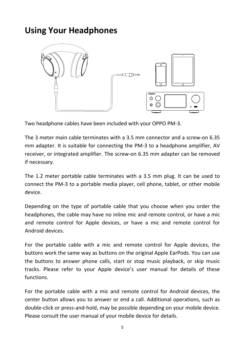#### **Using Your Headphones**



Two headphone cables have been included with your OPPO PM‐3.

The 3 meter main cable terminates with a 3.5 mm connector and a screw‐on 6.35 mm adapter. It is suitable for connecting the PM‐3 to a headphone amplifier, AV receiver, or integrated amplifier. The screw‐on 6.35 mm adapter can be removed if necessary.

The 1.2 meter portable cable terminates with a 3.5 mm plug. It can be used to connect the PM‐3 to a portable media player, cell phone, tablet, or other mobile device.

Depending on the type of portable cable that you choose when you order the headphones, the cable may have no inline mic and remote control, or have a mic and remote control for Apple devices, or have a mic and remote control for Android devices.

For the portable cable with a mic and remote control for Apple devices, the buttons work the same way as buttons on the original Apple EarPods. You can use the buttons to answer phone calls, start or stop music playback, or skip music tracks. Please refer to your Apple device's user manual for details of these functions.

For the portable cable with a mic and remote control for Android devices, the center button allows you to answer or end a call. Additional operations, such as double‐click or press‐and‐hold, may be possible depending on your mobile device. Please consult the user manual of your mobile device for details.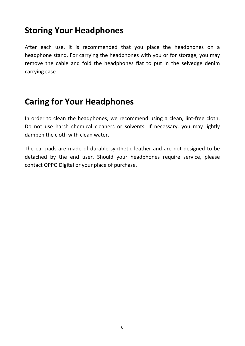#### **Storing Your Headphones**

After each use, it is recommended that you place the headphones on a headphone stand. For carrying the headphones with you or for storage, you may remove the cable and fold the headphones flat to put in the selvedge denim carrying case.

#### **Caring for Your Headphones**

In order to clean the headphones, we recommend using a clean, lint-free cloth. Do not use harsh chemical cleaners or solvents. If necessary, you may lightly dampen the cloth with clean water.

The ear pads are made of durable synthetic leather and are not designed to be detached by the end user. Should your headphones require service, please contact OPPO Digital or your place of purchase.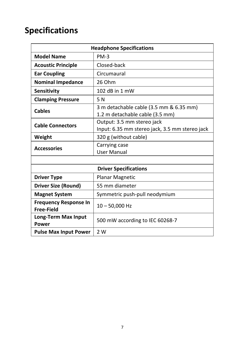## **Specifications**

| <b>Headphone Specifications</b>                   |                                                                              |  |
|---------------------------------------------------|------------------------------------------------------------------------------|--|
| <b>Model Name</b>                                 | $PM-3$                                                                       |  |
| <b>Acoustic Principle</b>                         | Closed-back                                                                  |  |
| <b>Ear Coupling</b>                               | Circumaural                                                                  |  |
| <b>Nominal Impedance</b>                          | 26 Ohm                                                                       |  |
| <b>Sensitivity</b>                                | 102 dB in 1 mW                                                               |  |
| <b>Clamping Pressure</b>                          | 5 N                                                                          |  |
| <b>Cables</b>                                     | 3 m detachable cable (3.5 mm & 6.35 mm)<br>1.2 m detachable cable (3.5 mm)   |  |
| <b>Cable Connectors</b>                           | Output: 3.5 mm stereo jack<br>Input: 6.35 mm stereo jack, 3.5 mm stereo jack |  |
| Weight                                            | 320 g (without cable)                                                        |  |
| <b>Accessories</b>                                | Carrying case<br><b>User Manual</b>                                          |  |
|                                                   |                                                                              |  |
| <b>Driver Specifications</b>                      |                                                                              |  |
| <b>Driver Type</b>                                | <b>Planar Magnetic</b>                                                       |  |
| Driver Size (Round)                               | 55 mm diameter                                                               |  |
| <b>Magnet System</b>                              | Symmetric push-pull neodymium                                                |  |
| <b>Frequency Response In</b><br><b>Free-Field</b> | $10 - 50,000$ Hz                                                             |  |
| <b>Long-Term Max Input</b><br>Power               | 500 mW according to IEC 60268-7                                              |  |
| <b>Pulse Max Input Power</b>                      | 2 W                                                                          |  |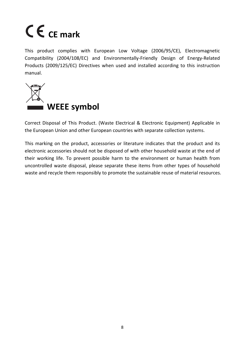# **CE mark**

This product complies with European Low Voltage (2006/95/CE), Electromagnetic Compatibility (2004/108/EC) and Environmentally‐Friendly Design of Energy‐Related Products (2009/125/EC) Directives when used and installed according to this instruction manual.



Correct Disposal of This Product. (Waste Electrical & Electronic Equipment) Applicable in the European Union and other European countries with separate collection systems.

This marking on the product, accessories or literature indicates that the product and its electronic accessories should not be disposed of with other household waste at the end of their working life. To prevent possible harm to the environment or human health from uncontrolled waste disposal, please separate these items from other types of household waste and recycle them responsibly to promote the sustainable reuse of material resources.